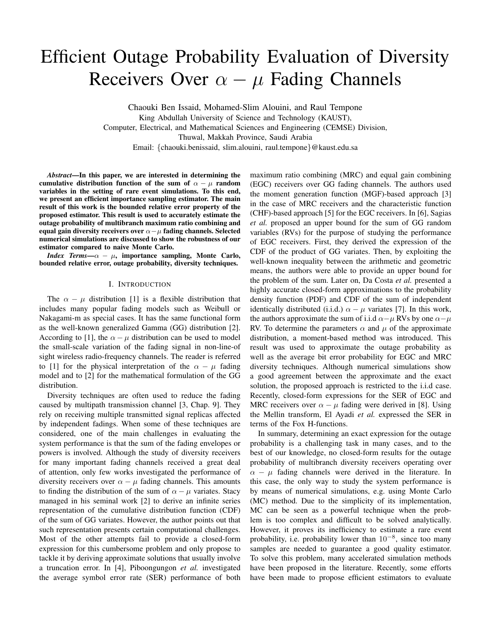# Efficient Outage Probability Evaluation of Diversity Receivers Over  $\alpha - \mu$  Fading Channels

Chaouki Ben Issaid, Mohamed-Slim Alouini, and Raul Tempone King Abdullah University of Science and Technology (KAUST), Computer, Electrical, and Mathematical Sciences and Engineering (CEMSE) Division, Thuwal, Makkah Province, Saudi Arabia Email: {chaouki.benissaid, slim.alouini, raul.tempone}@kaust.edu.sa

*Abstract*—In this paper, we are interested in determining the cumulative distribution function of the sum of  $\alpha - \mu$  random variables in the setting of rare event simulations. To this end, we present an efficient importance sampling estimator. The main result of this work is the bounded relative error property of the proposed estimator. This result is used to accurately estimate the outage probability of multibranch maximum ratio combining and equal gain diversity receivers over  $\alpha-\mu$  fading channels. Selected numerical simulations are discussed to show the robustness of our estimator compared to naive Monte Carlo.

*Index Terms*— $\alpha - \mu$ , importance sampling, Monte Carlo, bounded relative error, outage probability, diversity techniques.

### I. INTRODUCTION

The  $\alpha - \mu$  distribution [1] is a flexible distribution that includes many popular fading models such as Weibull or Nakagami-m as special cases. It has the same functional form as the well-known generalized Gamma (GG) distribution [2]. According to [1], the  $\alpha - \mu$  distribution can be used to model the small-scale variation of the fading signal in non-line-of sight wireless radio-frequency channels. The reader is referred to [1] for the physical interpretation of the  $\alpha - \mu$  fading model and to [2] for the mathematical formulation of the GG distribution.

Diversity techniques are often used to reduce the fading caused by multipath transmission channel [3, Chap. 9]. They rely on receiving multiple transmitted signal replicas affected by independent fadings. When some of these techniques are considered, one of the main challenges in evaluating the system performance is that the sum of the fading envelopes or powers is involved. Although the study of diversity receivers for many important fading channels received a great deal of attention, only few works investigated the performance of diversity receivers over  $\alpha - \mu$  fading channels. This amounts to finding the distribution of the sum of  $\alpha - \mu$  variates. Stacy managed in his seminal work [2] to derive an infinite series representation of the cumulative distribution function (CDF) of the sum of GG variates. However, the author points out that such representation presents certain computational challenges. Most of the other attempts fail to provide a closed-form expression for this cumbersome problem and only propose to tackle it by deriving approximate solutions that usually involve a truncation error. In [4], Piboongungon *et al.* investigated the average symbol error rate (SER) performance of both

maximum ratio combining (MRC) and equal gain combining (EGC) receivers over GG fading channels. The authors used the moment generation function (MGF)-based approach [3] in the case of MRC receivers and the characteristic function (CHF)-based approach [5] for the EGC receivers. In [6], Sagias *et al.* proposed an upper bound for the sum of GG random variables (RVs) for the purpose of studying the performance of EGC receivers. First, they derived the expression of the CDF of the product of GG variates. Then, by exploiting the well-known inequality between the arithmetic and geometric means, the authors were able to provide an upper bound for the problem of the sum. Later on, Da Costa *et al.* presented a highly accurate closed-form approximations to the probability density function (PDF) and CDF of the sum of independent identically distributed (i.i.d.)  $\alpha - \mu$  variates [7]. In this work, the authors approximate the sum of i.i.d  $\alpha-\mu$  RVs by one  $\alpha-\mu$ RV. To determine the parameters  $\alpha$  and  $\mu$  of the approximate distribution, a moment-based method was introduced. This result was used to approximate the outage probability as well as the average bit error probability for EGC and MRC diversity techniques. Although numerical simulations show a good agreement between the approximate and the exact solution, the proposed approach is restricted to the i.i.d case. Recently, closed-form expressions for the SER of EGC and MRC receivers over  $\alpha - \mu$  fading were derived in [8]. Using the Mellin transform, El Ayadi *et al.* expressed the SER in terms of the Fox H-functions.

In summary, determining an exact expression for the outage probability is a challenging task in many cases, and to the best of our knowledge, no closed-form results for the outage probability of multibranch diversity receivers operating over  $\alpha - \mu$  fading channels were derived in the literature. In this case, the only way to study the system performance is by means of numerical simulations, e.g. using Monte Carlo (MC) method. Due to the simplicity of its implementation, MC can be seen as a powerful technique when the problem is too complex and difficult to be solved analytically. However, it proves its inefficiency to estimate a rare event probability, i.e. probability lower than  $10^{-8}$ , since too many samples are needed to guarantee a good quality estimator. To solve this problem, many accelerated simulation methods have been proposed in the literature. Recently, some efforts have been made to propose efficient estimators to evaluate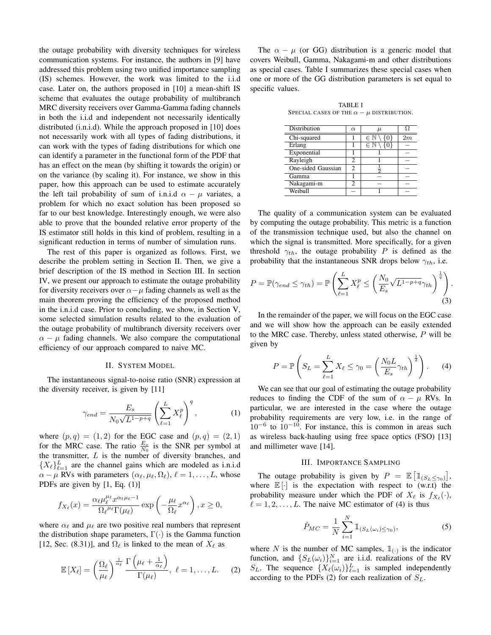the outage probability with diversity techniques for wireless communication systems. For instance, the authors in [9] have addressed this problem using two unified importance sampling (IS) schemes. However, the work was limited to the i.i.d case. Later on, the authors proposed in [10] a mean-shift IS scheme that evaluates the outage probability of multibranch MRC diversity receivers over Gamma-Gamma fading channels in both the i.i.d and independent not necessarily identically distributed (i.n.i.d). While the approach proposed in [10] does not necessarily work with all types of fading distributions, it can work with the types of fading distributions for which one can identify a parameter in the functional form of the PDF that has an effect on the mean (by shifting it towards the origin) or on the variance (by scaling it). For instance, we show in this paper, how this approach can be used to estimate accurately the left tail probability of sum of i.n.i.d  $\alpha - \mu$  variates, a problem for which no exact solution has been proposed so far to our best knowledge. Interestingly enough, we were also able to prove that the bounded relative error property of the IS estimator still holds in this kind of problem, resulting in a significant reduction in terms of number of simulation runs.

The rest of this paper is organized as follows. First, we describe the problem setting in Section II. Then, we give a brief description of the IS method in Section III. In section IV, we present our approach to estimate the outage probability for diversity receivers over  $\alpha-\mu$  fading channels as well as the main theorem proving the efficiency of the proposed method in the i.n.i.d case. Prior to concluding, we show, in Section V, some selected simulation results related to the evaluation of the outage probability of multibranch diversity receivers over  $\alpha - \mu$  fading channels. We also compare the computational efficiency of our approach compared to naive MC.

#### II. SYSTEM MODEL

The instantaneous signal-to-noise ratio (SNR) expression at the diversity receiver, is given by [11]

$$
\gamma_{end} = \frac{E_s}{N_0\sqrt{L^{1-p+q}}} \left(\sum_{\ell=1}^L X_{\ell}^p\right)^q, \tag{1}
$$

where  $(p, q) = (1, 2)$  for the EGC case and  $(p, q) = (2, 1)$ for the MRC case. The ratio  $\frac{E_s}{N_0}$  is the SNR per symbol at the transmitter,  $L$  is the number of diversity branches, and  $\{X_{\ell}\}_{\ell=1}^L$  are the channel gains which are modeled as i.n.i.d  $\alpha - \mu$  RVs with parameters  $(\alpha_{\ell}, \mu_{\ell}, \Omega_{\ell}), \ell = 1, \ldots, L$ , whose PDFs are given by [1, Eq. (1)]

$$
f_{X_{\ell}}(x) = \frac{\alpha_{\ell}\mu_{\ell}^{\mu_{\ell}}x^{\alpha_{\ell}\mu_{\ell}-1}}{\Omega_{\ell}^{\mu_{\ell}}\Gamma(\mu_{\ell})}\exp\left(-\frac{\mu_{\ell}}{\Omega_{\ell}}x^{\alpha_{\ell}}\right), x \ge 0,
$$

where  $\alpha_{\ell}$  and  $\mu_{\ell}$  are two positive real numbers that represent the distribution shape parameters,  $\Gamma(\cdot)$  is the Gamma function [12, Sec. (8.31)], and  $\Omega_\ell$  is linked to the mean of  $X_\ell$  as

$$
\mathbb{E}\left[X_{\ell}\right] = \left(\frac{\Omega_{\ell}}{\mu_{\ell}}\right)^{\frac{1}{\alpha_{\ell}}} \frac{\Gamma\left(\mu_{\ell} + \frac{1}{\alpha_{\ell}}\right)}{\Gamma(\mu_{\ell})}, \ \ell = 1, \ldots, L.
$$
 (2)

The  $\alpha - \mu$  (or GG) distribution is a generic model that covers Weibull, Gamma, Nakagami-m and other distributions as special cases. Table I summarizes these special cases when one or more of the GG distribution parameters is set equal to specific values.

TABLE I SPECIAL CASES OF THE  $\alpha - \mu$  DISTRIBUTION.

| <b>Distribution</b> | $\alpha$ | $\mu$            |    |
|---------------------|----------|------------------|----|
| Chi-squared         |          | $\in \mathbb{N}$ | 2m |
| Erlang              |          | $\in$            |    |
| Exponential         |          |                  |    |
| Rayleigh            | 2        |                  |    |
| One-sided Gaussian  | 2        |                  |    |
| Gamma               |          |                  |    |
| Nakagami-m          | 2        |                  |    |
| Weibull             |          |                  |    |

The quality of a communication system can be evaluated by computing the outage probability. This metric is a function of the transmission technique used, but also the channel on which the signal is transmitted. More specifically, for a given threshold  $\gamma_{th}$ , the outage probability P is defined as the probability that the instantaneous SNR drops below  $\gamma_{th}$ , i.e.

$$
P = \mathbb{P}(\gamma_{end} \le \gamma_{th}) = \mathbb{P}\left(\sum_{\ell=1}^{L} X_{\ell}^{p} \le \left(\frac{N_{0}}{E_{s}} \sqrt{L^{1-p+q}} \gamma_{th}\right)^{\frac{1}{q}}\right).
$$
\n(3)

In the remainder of the paper, we will focus on the EGC case and we will show how the approach can be easily extended to the MRC case. Thereby, unless stated otherwise, P will be given by

$$
P = \mathbb{P}\left(S_L = \sum_{\ell=1}^L X_\ell \le \gamma_0 = \left(\frac{N_0 L}{E_s} \gamma_{th}\right)^{\frac{1}{2}}\right). \tag{4}
$$

We can see that our goal of estimating the outage probability reduces to finding the CDF of the sum of  $\alpha - \mu$  RVs. In particular, we are interested in the case where the outage probability requirements are very low, i.e. in the range of  $10^{-6}$  to  $10^{-10}$ . For instance, this is common in areas such as wireless back-hauling using free space optics (FSO) [13] and millimeter wave [14].

### III. IMPORTANCE SAMPLING

The outage probability is given by  $P = \mathbb{E} \left[ \mathbb{1}_{(S_L \le \gamma_0)} \right],$ where  $\mathbb{E}[\cdot]$  is the expectation with respect to  $(w.r.t)$  the probability measure under which the PDF of  $X_\ell$  is  $f_{X_\ell}(\cdot)$ ,  $\ell = 1, 2, \ldots, L$ . The naive MC estimator of (4) is thus

$$
\hat{P}_{MC} = \frac{1}{N} \sum_{i=1}^{N} \mathbb{1}_{(S_L(\omega_i) \le \gamma_0)},
$$
\n(5)

where N is the number of MC samples,  $\mathbb{1}_{\left(\cdot\right)}$  is the indicator function, and  $\{S_L(\omega_i)\}_{i=1}^N$  are i.i.d. realizations of the RV  $S_L$ . The sequence  $\{X_\ell(\omega_i)\}_{\ell=1}^L$  is sampled independently according to the PDFs (2) for each realization of  $S_L$ .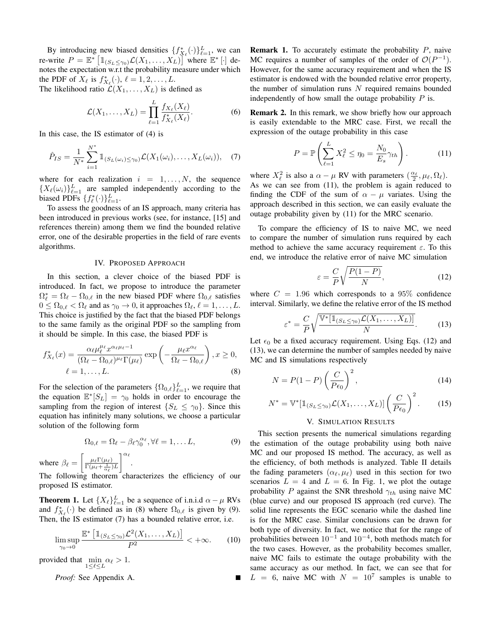By introducing new biased densities  $\{f_{X_\ell}^*(\cdot)\}_{\ell=1}^L$ , we can re-write  $P = \mathbb{E}^* \left[ \mathbb{1}_{(S_L \leq \gamma_0)} \mathcal{L}(X_1, \dots, X_L) \right]$  where  $\mathbb{E}^* \left[ \cdot \right]$  denotes the expectation w.r.t the probability measure under which the PDF of  $X_{\ell}$  is  $f_{X_{\ell}}^{*}(\cdot), \ell = 1, 2, \ldots, L$ . The likelihood ratio  $\mathcal{L}(X_1, \ldots, X_L)$  is defined as

$$
\mathcal{L}(X_1,\ldots,X_L)=\prod_{\ell=1}^L\frac{f_{X_\ell}(X_\ell)}{f_{X_\ell}^*(X_\ell)}.
$$
\n(6)

In this case, the IS estimator of (4) is

$$
\hat{P}_{IS} = \frac{1}{N^*} \sum_{i=1}^{N^*} \mathbb{1}_{(S_L(\omega_i) \leq \gamma_0)} \mathcal{L}(X_1(\omega_i), \dots, X_L(\omega_i)), \quad (7)
$$

where for each realization  $i = 1, \ldots, N$ , the sequence  ${X_{\ell}(\omega_i)}_{\ell=1}^L$  are sampled independently according to the biased PDFs  $\{f^*_\ell(\cdot)\}_{\ell=1}^L$ .

To assess the goodness of an IS approach, many criteria has been introduced in previous works (see, for instance, [15] and references therein) among them we find the bounded relative error, one of the desirable properties in the field of rare events algorithms.

### IV. PROPOSED APPROACH

In this section, a clever choice of the biased PDF is introduced. In fact, we propose to introduce the parameter  $\Omega_{\ell}^* = \Omega_{\ell} - \Omega_{0,\ell}$  in the new biased PDF where  $\Omega_{0,\ell}$  satisfies  $0 \leq \Omega_{0,\ell} < \Omega_{\ell}$  and as  $\gamma_0 \to 0$ , it approaches  $\Omega_{\ell}, \ell = 1, \ldots, L$ . This choice is justified by the fact that the biased PDF belongs to the same family as the original PDF so the sampling from it should be simple. In this case, the biased PDF is

$$
f_{X_{\ell}}^*(x) = \frac{\alpha_{\ell} \mu_{\ell}^{\mu_{\ell}} x^{\alpha_{\ell} \mu_{\ell} - 1}}{(\Omega_{\ell} - \Omega_{0,\ell})^{\mu_{\ell}} \Gamma(\mu_{\ell})} \exp\left(-\frac{\mu_{\ell} x^{\alpha_{\ell}}}{\Omega_{\ell} - \Omega_{0,\ell}}\right), x \ge 0,
$$
  

$$
\ell = 1, \dots, L.
$$
 (8)

For the selection of the parameters  $\{\Omega_{0,\ell}\}_{\ell=1}^L$ , we require that the equation  $\mathbb{E}^*[S_L] = \gamma_0$  holds in order to encourage the sampling from the region of interest  $\{S_L \leq \gamma_0\}$ . Since this equation has infinitely many solutions, we choose a particular solution of the following form

$$
\Omega_{0,\ell} = \Omega_{\ell} - \beta_{\ell} \gamma_0^{\alpha_{\ell}}, \forall \ell = 1, \dots L,
$$
\n(9)

where  $\beta_{\ell} = \left[ \frac{\mu_{\ell} \Gamma(\mu_{\ell})}{\Gamma(\mu_{\ell} + \frac{1}{\alpha_{\ell}}) L} \right]$  $\Big] ^{\alpha _\ell }.$ 

The following theorem characterizes the efficiency of our proposed IS estimator.

**Theorem 1.** Let  $\{X_{\ell}\}_{\ell=1}^{L}$  be a sequence of i.n.i.d  $\alpha - \mu$  RVs and  $f_{X_{\ell}}^{*}(\cdot)$  be defined as in (8) where  $\Omega_{0,\ell}$  is given by (9). Then, the IS estimator (7) has a bounded relative error, i.e.

$$
\limsup_{\gamma_0 \to 0} \frac{\mathbb{E}^* \left[ \mathbb{1}_{(S_L \le \gamma_0)} \mathcal{L}^2(X_1, \dots, X_L) \right]}{P^2} < +\infty. \tag{10}
$$

provided that  $\min_{1 \leq \ell \leq L} \alpha_{\ell} > 1$ .

*Proof:* See Appendix A.

**Remark 1.** To accurately estimate the probability  $P$ , naive MC requires a number of samples of the order of  $\mathcal{O}(P^{-1})$ . However, for the same accuracy requirement and when the IS estimator is endowed with the bounded relative error property, the number of simulation runs  $N$  required remains bounded independently of how small the outage probability  $P$  is.

Remark 2. In this remark, we show briefly how our approach is easily extendable to the MRC case. First, we recall the expression of the outage probability in this case

$$
P = \mathbb{P}\left(\sum_{\ell=1}^{L} X_{\ell}^2 \le \eta_0 = \frac{N_0}{E_s} \gamma_{th}\right). \tag{11}
$$

where  $X_{\ell}^2$  is also a  $\alpha - \mu$  RV with parameters  $(\frac{\alpha_{\ell}}{2}, \mu_{\ell}, \Omega_{\ell}).$ As we can see from (11), the problem is again reduced to finding the CDF of the sum of  $\alpha - \mu$  variates. Using the approach described in this section, we can easily evaluate the outage probability given by (11) for the MRC scenario.

To compare the efficiency of IS to naive MC, we need to compare the number of simulation runs required by each method to achieve the same accuracy requirement  $\varepsilon$ . To this end, we introduce the relative error of naive MC simulation

$$
\varepsilon = \frac{C}{P} \sqrt{\frac{P(1-P)}{N}},\tag{12}
$$

where  $C = 1.96$  which corresponds to a 95% confidence interval. Similarly, we define the relative error of the IS method

$$
\varepsilon^* = \frac{C}{P} \sqrt{\frac{\mathbb{V}^*[\mathbb{1}_{(S_L \le \gamma_0)} \mathcal{L}(X_1, \dots, X_L)]}{N}}.
$$
 (13)

Let  $\epsilon_0$  be a fixed accuracy requirement. Using Eqs. (12) and (13), we can determine the number of samples needed by naive MC and IS simulations respectively

$$
N = P(1 - P) \left(\frac{C}{P\epsilon_0}\right)^2,\tag{14}
$$

$$
N^* = \mathbb{V}^*[\mathbb{1}_{(S_L \le \gamma_0)} \mathcal{L}(X_1, \dots, X_L)] \left(\frac{C}{P\epsilon_0}\right)^2.
$$
 (15)

## V. SIMULATION RESULTS

This section presents the numerical simulations regarding the estimation of the outage probability using both naive MC and our proposed IS method. The accuracy, as well as the efficiency, of both methods is analyzed. Table II details the fading parameters  $(\alpha_{\ell}, \mu_{\ell})$  used in this section for two scenarios  $L = 4$  and  $L = 6$ . In Fig. 1, we plot the outage probability P against the SNR threshold  $\gamma_{th}$  using naive MC (blue curve) and our proposed IS approach (red curve). The solid line represents the EGC scenario while the dashed line is for the MRC case. Similar conclusions can be drawn for both type of diversity. In fact, we notice that for the range of probabilities between  $10^{-1}$  and  $10^{-4}$ , both methods match for the two cases. However, as the probability becomes smaller, naive MC fails to estimate the outage probability with the same accuracy as our method. In fact, we can see that for  $L = 6$ , naive MC with  $N = 10^7$  samples is unable to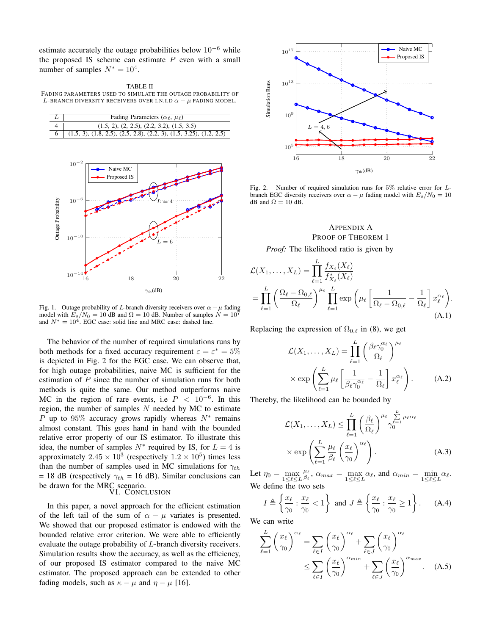estimate accurately the outage probabilities below  $10^{-6}$  while the proposed IS scheme can estimate  $P$  even with a small number of samples  $N^* = 10^4$ .

TABLE II FADING PARAMETERS USED TO SIMULATE THE OUTAGE PROBABILITY OF L-BRANCH DIVERSITY RECEIVERS OVER I.N.I.D  $\alpha - \mu$  fading model.

| Fading Parameters ( $\alpha_{\ell}$ , $\mu_{\ell}$ )                  |
|-----------------------------------------------------------------------|
| $(1.5, 2), (2, 2.5), (2.2, 3.2), (1.5, 3.5)$                          |
| $(1.5, 3), (1.8, 2.5), (2.5, 2.8), (2.2, 3), (1.5, 3.25), (1.2, 2.5)$ |



Fig. 1. Outage probability of L-branch diversity receivers over  $\alpha - \mu$  fading model with  $E_s/N_0 = 10$  dB and  $\Omega = 10$  dB. Number of samples  $N = 10^7$ and  $N^* = 10^4$ . EGC case: solid line and MRC case: dashed line.

The behavior of the number of required simulations runs by both methods for a fixed accuracy requirement  $\varepsilon = \varepsilon^* = 5\%$ is depicted in Fig. 2 for the EGC case. We can observe that, for high outage probabilities, naive MC is sufficient for the estimation of P since the number of simulation runs for both methods is quite the same. Our method outperforms naive MC in the region of rare events, i.e  $P < 10^{-6}$ . In this region, the number of samples  $N$  needed by MC to estimate P up to 95% accuracy grows rapidly whereas  $N^*$  remains almost constant. This goes hand in hand with the bounded relative error property of our IS estimator. To illustrate this idea, the number of samples  $N^*$  required by IS, for  $L = 4$  is approximately  $2.45 \times 10^3$  (respectively  $1.2 \times 10^5$ ) times less than the number of samples used in MC simulations for  $\gamma_{th}$ = 18 dB (respectively  $\gamma_{th}$  = 16 dB). Similar conclusions can be drawn for the MRC scenario. VI. CONCLUSION

In this paper, a novel approach for the efficient estimation of the left tail of the sum of  $\alpha - \mu$  variates is presented. We showed that our proposed estimator is endowed with the bounded relative error criterion. We were able to efficiently evaluate the outage probability of L-branch diversity receivers. Simulation results show the accuracy, as well as the efficiency, of our proposed IS estimator compared to the naive MC estimator. The proposed approach can be extended to other fading models, such as  $\kappa - \mu$  and  $\eta - \mu$  [16].



Fig. 2. Number of required simulation runs for 5% relative error for Lbranch EGC diversity receivers over  $\alpha - \mu$  fading model with  $E_s/N_0 = 10$ dB and  $\Omega = 10$  dB.

### APPENDIX A PROOF OF THEOREM 1

*Proof:* The likelihood ratio is given by

$$
\mathcal{L}(X_1, \dots, X_L) = \prod_{\ell=1}^L \frac{f_{X_\ell}(X_\ell)}{f_{X_\ell}^*(X_\ell)}
$$
  
= 
$$
\prod_{\ell=1}^L \left(\frac{\Omega_\ell - \Omega_{0,\ell}}{\Omega_\ell}\right)^{\mu_\ell} \prod_{\ell=1}^L \exp\left(\mu_\ell \left[\frac{1}{\Omega_\ell - \Omega_{0,\ell}} - \frac{1}{\Omega_\ell}\right] x_\ell^{\alpha_\ell}\right).
$$
(A.1)

Replacing the expression of  $\Omega_{0,\ell}$  in (8), we get

$$
\mathcal{L}(X_1, \dots, X_L) = \prod_{\ell=1}^L \left( \frac{\beta_\ell \gamma_0^{\alpha_\ell}}{\Omega_\ell} \right)^{\mu_\ell}
$$

$$
\times \exp \left( \sum_{\ell=1}^L \mu_\ell \left[ \frac{1}{\beta_\ell \gamma_0^{\alpha_\ell}} - \frac{1}{\Omega_\ell} \right] x_\ell^{\alpha_\ell} \right). \tag{A.2}
$$

Thereby, the likelihood can be bounded by

$$
\mathcal{L}(X_1, \dots, X_L) \le \prod_{\ell=1}^L \left(\frac{\beta_\ell}{\Omega_\ell}\right)^{\mu_\ell} \gamma_0^{\sum_{\ell=1}^L \mu_\ell \alpha_\ell} \times \exp\left(\sum_{\ell=1}^L \frac{\mu_\ell}{\beta_\ell} \left(\frac{x_\ell}{\gamma_0}\right)^{\alpha_\ell}\right). \tag{A.3}
$$

Let  $\eta_0 = \max_{1 \leq \ell \leq L}$  $\frac{\mu_{\ell}}{\beta_{\ell}}, \ \alpha_{max} = \max_{1 \leq \ell \leq L} \alpha_{\ell}, \text{ and } \ \alpha_{min} = \min_{1 \leq \ell \leq L} \alpha_{\ell}.$ We define the two sets

$$
I \triangleq \left\{ \frac{x_{\ell}}{\gamma_0} : \frac{x_{\ell}}{\gamma_0} < 1 \right\} \text{ and } J \triangleq \left\{ \frac{x_{\ell}}{\gamma_0} : \frac{x_{\ell}}{\gamma_0} \ge 1 \right\}. \tag{A.4}
$$

We can write

$$
\sum_{\ell=1}^{L} \left(\frac{x_{\ell}}{\gamma_0}\right)^{\alpha_{\ell}} = \sum_{\ell \in I} \left(\frac{x_{\ell}}{\gamma_0}\right)^{\alpha_{\ell}} + \sum_{\ell \in J} \left(\frac{x_{\ell}}{\gamma_0}\right)^{\alpha_{\ell}} \n\le \sum_{\ell \in I} \left(\frac{x_{\ell}}{\gamma_0}\right)^{\alpha_{min}} + \sum_{\ell \in J} \left(\frac{x_{\ell}}{\gamma_0}\right)^{\alpha_{max}}.
$$
 (A.5)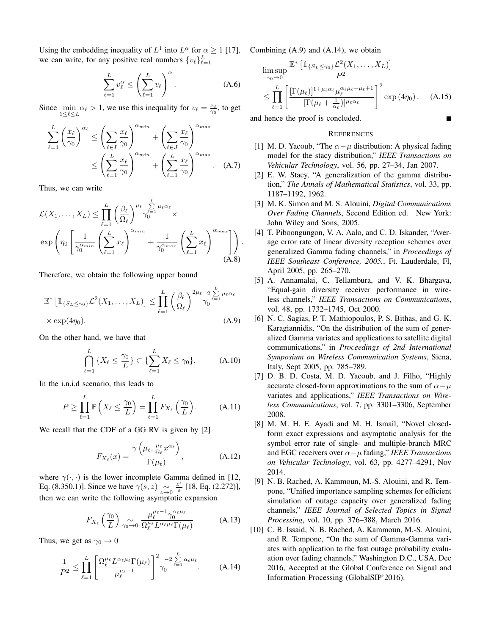Using the embedding inequality of  $L^1$  into  $L^{\alpha}$  for  $\alpha \ge 1$  [17], Combining (A.9) and (A.14), we obtain we can write, for any positive real numbers  $\{v_\ell\}_{\ell=1}^L$ 

$$
\sum_{\ell=1}^{L} v_{\ell}^{\alpha} \le \left(\sum_{\ell=1}^{L} v_{\ell}\right)^{\alpha}.
$$
 (A.6)

Since  $\min_{1 \leq \ell \leq L} \alpha_{\ell} > 1$ , we use this inequality for  $v_{\ell} = \frac{x_{\ell}}{\gamma_0}$ , to get

$$
\sum_{\ell=1}^{L} \left(\frac{x_{\ell}}{\gamma_0}\right)^{\alpha_{\ell}} \le \left(\sum_{\ell \in I} \frac{x_{\ell}}{\gamma_0}\right)^{\alpha_{min}} + \left(\sum_{\ell \in J} \frac{x_{\ell}}{\gamma_0}\right)^{\alpha_{max}} \n\le \left(\sum_{\ell=1}^{L} \frac{x_{\ell}}{\gamma_0}\right)^{\alpha_{min}} + \left(\sum_{\ell=1}^{L} \frac{x_{\ell}}{\gamma_0}\right)^{\alpha_{max}}.
$$
\n(A.7)

Thus, we can write

$$
\mathcal{L}(X_1, \dots, X_L) \leq \prod_{\ell=1}^L \left(\frac{\beta_\ell}{\Omega_\ell}\right)^{\mu_\ell} \gamma_0^{\sum_{\ell=1}^L \mu_\ell \alpha_\ell} \times \exp\left(\eta_0 \left[\frac{1}{\gamma_0^{\alpha_{min}}} \left(\sum_{\ell=1}^L x_\ell\right)^{\alpha_{min}} + \frac{1}{\gamma_0^{\alpha_{max}}} \left(\sum_{\ell=1}^L x_\ell\right)^{\alpha_{max}}\right]\right). \tag{A.8}
$$

Therefore, we obtain the following upper bound

$$
\mathbb{E}^* \left[ \mathbb{1}_{\{S_L \le \gamma_0\}} \mathcal{L}^2(X_1, \dots, X_L) \right] \le \prod_{\ell=1}^L \left( \frac{\beta_\ell}{\Omega_\ell} \right)^{2\mu_\ell} \gamma_0^{\frac{L}{\ell-1} \mu_\ell \alpha_\ell} \times \exp(4\eta_0). \tag{A.9}
$$

On the other hand, we have that

$$
\bigcap_{\ell=1}^{L} \left\{ X_{\ell} \leq \frac{\gamma_0}{L} \right\} \subset \left\{ \sum_{\ell=1}^{L} X_{\ell} \leq \gamma_0 \right\}.
$$
 (A.10)

In the i.n.i.d scenario, this leads to

$$
P \ge \prod_{\ell=1}^{L} \mathbb{P}\left(X_{\ell} \le \frac{\gamma_0}{L}\right) = \prod_{\ell=1}^{L} F_{X_{\ell}}\left(\frac{\gamma_0}{L}\right). \tag{A.11}
$$

We recall that the CDF of a GG RV is given by [2]

$$
F_{X_{\ell}}(x) = \frac{\gamma\left(\mu_{\ell}, \frac{\mu_{\ell}}{\Omega_{\ell}} x^{\alpha_{\ell}}\right)}{\Gamma(\mu_{\ell})}, \tag{A.12}
$$

where  $\gamma(\cdot, \cdot)$  is the lower incomplete Gamma defined in [12, Eq. (8.350.1)]. Since we have  $\gamma(s, z) \sim z \to 0$ z s  $\frac{z^2}{s}$  [18, Eq. (2.272)], then we can write the following asymptotic expansion

$$
F_{X_{\ell}}\left(\frac{\gamma_0}{L}\right) \underset{\gamma_0 \to 0}{\sim} \frac{\mu_{\ell}^{\mu_{\ell}-1} \gamma_0^{\alpha_{\ell}\mu_{\ell}}}{\Omega_{\ell}^{\mu_{\ell}} L^{\alpha_{\ell}\mu_{\ell}} \Gamma(\mu_{\ell})} \tag{A.13}
$$

Thus, we get as  $\gamma_0 \to 0$ 

$$
\frac{1}{P^2} \le \prod_{\ell=1}^L \left[ \frac{\Omega_\ell^{\mu_\ell} L^{\alpha_\ell} \mu_\ell \Gamma(\mu_\ell)}{\mu_\ell^{\mu_\ell - 1}} \right]^{2} \gamma_0^{-2} \sum_{\ell=1}^L \alpha_\ell \mu_\ell \tag{A.14}
$$

$$
\limsup_{\gamma_0 \to 0} \frac{\mathbb{E}^* \left[ \mathbb{1}_{\{S_L \le \gamma_0\}} \mathcal{L}^2(X_1, \dots, X_L) \right]}{P^2}
$$
\n
$$
\le \prod_{\ell=1}^L \left[ \frac{\left[ \Gamma(\mu_\ell) \right]^{1 + \mu_\ell \alpha_\ell} \mu_\ell^{\alpha_\ell \mu_\ell - \mu_\ell + 1}}{\left[ \Gamma(\mu_\ell + \frac{1}{\alpha_\ell}) \right]^{\mu_\ell \alpha_\ell}} \right]^2 \exp(4\eta_0). \quad (A.15)
$$

Г

and hence the proof is concluded.

#### **REFERENCES**

- [1] M. D. Yacoub, "The  $\alpha-\mu$  distribution: A physical fading model for the stacy distribution," *IEEE Transactions on Vehicular Technology*, vol. 56, pp. 27–34, Jan 2007.
- [2] E. W. Stacy, "A generalization of the gamma distribution," *The Annals of Mathematical Statistics*, vol. 33, pp. 1187–1192, 1962.
- [3] M. K. Simon and M. S. Alouini, *Digital Communications Over Fading Channels*, Second Edition ed. New York: John Wiley and Sons, 2005.
- [4] T. Piboongungon, V. A. Aalo, and C. D. Iskander, "Average error rate of linear diversity reception schemes over generalized Gamma fading channels," in *Proceedings of IEEE Southeast Conference, 2005.*, Ft. Lauderdale, Fl, April 2005, pp. 265–270.
- [5] A. Annamalai, C. Tellambura, and V. K. Bhargava, "Equal-gain diversity receiver performance in wireless channels," *IEEE Transactions on Communications*, vol. 48, pp. 1732–1745, Oct 2000.
- [6] N. C. Sagias, P. T. Mathiopoulos, P. S. Bithas, and G. K. Karagiannidis, "On the distribution of the sum of generalized Gamma variates and applications to satellite digital communications," in *Proceedings of 2nd International Symposium on Wireless Communication Systems*, Siena, Italy, Sept 2005, pp. 785–789.
- [7] D. B. D. Costa, M. D. Yacoub, and J. Filho, "Highly accurate closed-form approximations to the sum of  $\alpha-\mu$ variates and applications," *IEEE Transactions on Wireless Communications*, vol. 7, pp. 3301–3306, September 2008.
- [8] M. M. H. E. Ayadi and M. H. Ismail, "Novel closedform exact expressions and asymptotic analysis for the symbol error rate of single- and multiple-branch MRC and EGC receivers over α−µ fading," *IEEE Transactions on Vehicular Technology*, vol. 63, pp. 4277–4291, Nov 2014.
- [9] N. B. Rached, A. Kammoun, M.-S. Alouini, and R. Tempone, "Unified importance sampling schemes for efficient simulation of outage capacity over generalized fading channels," *IEEE Journal of Selected Topics in Signal Processing*, vol. 10, pp. 376–388, March 2016.
- [10] C. B. Issaid, N. B. Rached, A. Kammoun, M.-S. Alouini, and R. Tempone, "On the sum of Gamma-Gamma variates with application to the fast outage probability evaluation over fading channels," Washington D.C., USA, Dec 2016, Accepted at the Global Conference on Signal and Information Processing (GlobalSIP'2016).